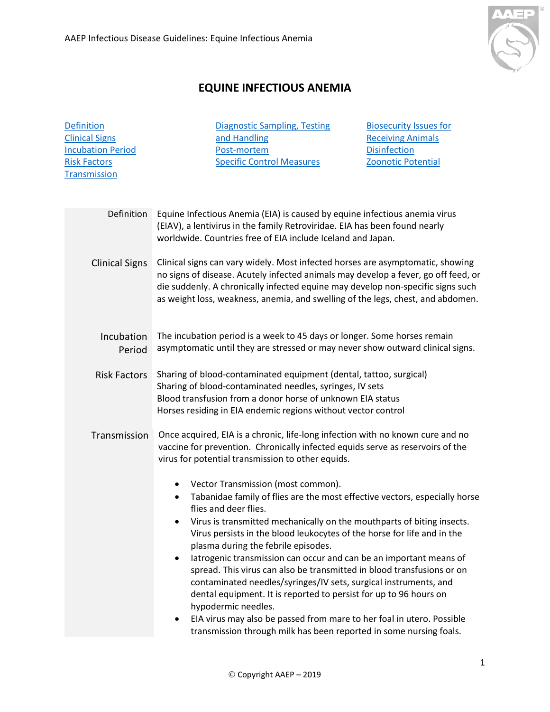

## **EQUINE INFECTIOUS ANEMIA**

**[Definition](#page-0-0)** [Clinical Signs](#page-0-1) [Incubation Period](#page-0-2) [Risk Factors](#page-0-3) **[Transmission](#page-0-4)** 

[Diagnostic Sampling, Testing](#page-1-0)  [and Handling](#page-1-0) [Post-mortem](#page-2-0) [Specific Control Measures](#page-2-1)

[Biosecurity Issues for](#page-2-2)  [Receiving Animals](#page-2-2) **[Disinfection](#page-2-3)** [Zoonotic Potential](#page-3-0)

<span id="page-0-4"></span><span id="page-0-3"></span><span id="page-0-2"></span><span id="page-0-1"></span><span id="page-0-0"></span>Transmission Once acquired, EIA is a chronic, life-long infection with no known cure and no vaccine for prevention. Chronically infected equids serve as reservoirs of the virus for potential transmission to other equids. • Vector Transmission (most common). • Tabanidae family of flies are the most effective vectors, especially horse flies and deer flies. • Virus is transmitted mechanically on the mouthparts of biting insects. Virus persists in the blood leukocytes of the horse for life and in the plasma during the febrile episodes. latrogenic transmission can occur and can be an important means of spread. This virus can also be transmitted in blood transfusions or on contaminated needles/syringes/IV sets, surgical instruments, and dental equipment. It is reported to persist for up to 96 hours on hypodermic needles. • EIA virus may also be passed from mare to her foal in utero. Possible transmission through milk has been reported in some nursing foals. Definition Equine Infectious Anemia (EIA) is caused by equine infectious anemia virus (EIAV), a lentivirus in the family Retroviridae. EIA has been found nearly worldwide. Countries free of EIA include Iceland and Japan. Clinical Signs Clinical signs can vary widely. Most infected horses are asymptomatic, showing no signs of disease. Acutely infected animals may develop a fever, go off feed, or die suddenly. A chronically infected equine may develop non-specific signs such as weight loss, weakness, anemia, and swelling of the legs, chest, and abdomen. Incubation The incubation period is a week to 45 days or longer. Some horses remain Period asymptomatic until they are stressed or may never show outward clinical signs. Risk Factors Sharing of blood-contaminated equipment (dental, tattoo, surgical) Sharing of blood-contaminated needles, syringes, IV sets Blood transfusion from a donor horse of unknown EIA status Horses residing in EIA endemic regions without vector control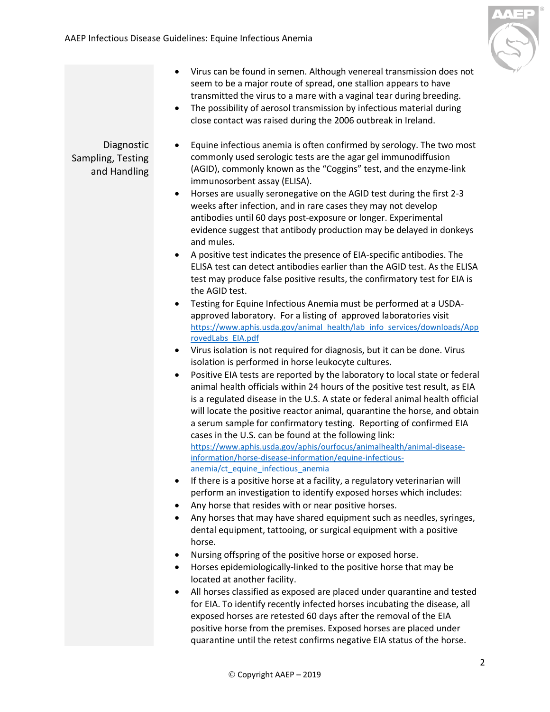

- Virus can be found in semen. Although venereal transmission does not seem to be a major route of spread, one stallion appears to have transmitted the virus to a mare with a vaginal tear during breeding.
	- The possibility of aerosol transmission by infectious material during close contact was raised during the 2006 outbreak in Ireland.

## <span id="page-1-0"></span>Diagnostic Sampling, Testing and Handling

- Equine infectious anemia is often confirmed by serology. The two most commonly used serologic tests are the agar gel immunodiffusion (AGID), commonly known as the "Coggins" test, and the enzyme-link immunosorbent assay (ELISA).
- Horses are usually seronegative on the AGID test during the first 2-3 weeks after infection, and in rare cases they may not develop antibodies until 60 days post-exposure or longer. Experimental evidence suggest that antibody production may be delayed in donkeys and mules.
- A positive test indicates the presence of EIA-specific antibodies. The ELISA test can detect antibodies earlier than the AGID test. As the ELISA test may produce false positive results, the confirmatory test for EIA is the AGID test.
- Testing for Equine Infectious Anemia must be performed at a USDAapproved laboratory. For a listing of approved laboratories visit [https://www.aphis.usda.gov/animal\\_health/lab\\_info\\_services/downloads/App](https://www.aphis.usda.gov/animal_health/lab_info_services/downloads/ApprovedLabs_EIA.pdf) [rovedLabs\\_EIA.pdf](https://www.aphis.usda.gov/animal_health/lab_info_services/downloads/ApprovedLabs_EIA.pdf)
- Virus isolation is not required for diagnosis, but it can be done. Virus isolation is performed in horse leukocyte cultures.
- Positive EIA tests are reported by the laboratory to local state or federal animal health officials within 24 hours of the positive test result, as EIA is a regulated disease in the U.S. A state or federal animal health official will locate the positive reactor animal, quarantine the horse, and obtain a serum sample for confirmatory testing. Reporting of confirmed EIA cases in the U.S. can be found at the following link: [https://www.aphis.usda.gov/aphis/ourfocus/animalhealth/animal-disease](https://www.aphis.usda.gov/aphis/ourfocus/animalhealth/animal-disease-information/horse-disease-information/equine-infectious-anemia/ct_equine_infectious_anemia)[information/horse-disease-information/equine-infectious](https://www.aphis.usda.gov/aphis/ourfocus/animalhealth/animal-disease-information/horse-disease-information/equine-infectious-anemia/ct_equine_infectious_anemia)[anemia/ct\\_equine\\_infectious\\_anemia](https://www.aphis.usda.gov/aphis/ourfocus/animalhealth/animal-disease-information/horse-disease-information/equine-infectious-anemia/ct_equine_infectious_anemia)
- If there is a positive horse at a facility, a regulatory veterinarian will perform an investigation to identify exposed horses which includes:
- Any horse that resides with or near positive horses.
- Any horses that may have shared equipment such as needles, syringes, dental equipment, tattooing, or surgical equipment with a positive horse.
- Nursing offspring of the positive horse or exposed horse.
- Horses epidemiologically-linked to the positive horse that may be located at another facility.
- All horses classified as exposed are placed under quarantine and tested for EIA. To identify recently infected horses incubating the disease, all exposed horses are retested 60 days after the removal of the EIA positive horse from the premises. Exposed horses are placed under quarantine until the retest confirms negative EIA status of the horse.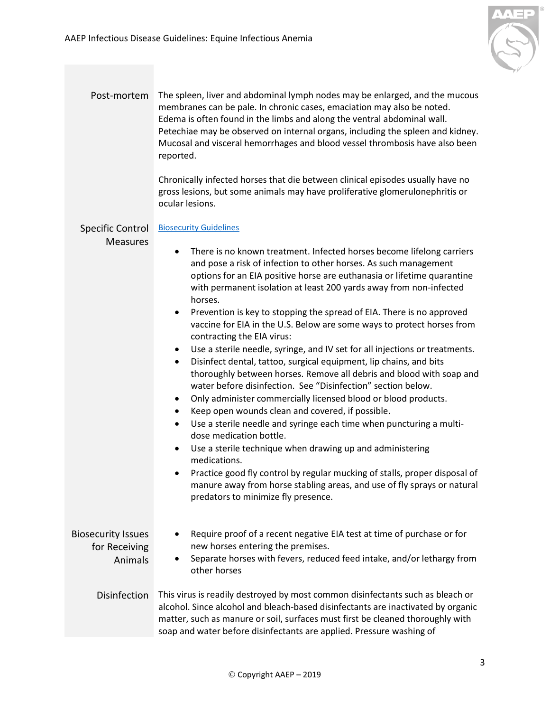

<span id="page-2-3"></span><span id="page-2-2"></span><span id="page-2-1"></span><span id="page-2-0"></span>

| Post-mortem                                           | The spleen, liver and abdominal lymph nodes may be enlarged, and the mucous<br>membranes can be pale. In chronic cases, emaciation may also be noted.<br>Edema is often found in the limbs and along the ventral abdominal wall.<br>Petechiae may be observed on internal organs, including the spleen and kidney.<br>Mucosal and visceral hemorrhages and blood vessel thrombosis have also been<br>reported.<br>Chronically infected horses that die between clinical episodes usually have no<br>gross lesions, but some animals may have proliferative glomerulonephritis or<br>ocular lesions.                                                                                                                                                                                                                                                                                                                                                                                                                                                                                                                                                                                                                                                                                                                                                                                                                               |
|-------------------------------------------------------|-----------------------------------------------------------------------------------------------------------------------------------------------------------------------------------------------------------------------------------------------------------------------------------------------------------------------------------------------------------------------------------------------------------------------------------------------------------------------------------------------------------------------------------------------------------------------------------------------------------------------------------------------------------------------------------------------------------------------------------------------------------------------------------------------------------------------------------------------------------------------------------------------------------------------------------------------------------------------------------------------------------------------------------------------------------------------------------------------------------------------------------------------------------------------------------------------------------------------------------------------------------------------------------------------------------------------------------------------------------------------------------------------------------------------------------|
| <b>Specific Control</b><br><b>Measures</b>            | <b>Biosecurity Guidelines</b><br>There is no known treatment. Infected horses become lifelong carriers<br>$\bullet$<br>and pose a risk of infection to other horses. As such management<br>options for an EIA positive horse are euthanasia or lifetime quarantine<br>with permanent isolation at least 200 yards away from non-infected<br>horses.<br>Prevention is key to stopping the spread of EIA. There is no approved<br>$\bullet$<br>vaccine for EIA in the U.S. Below are some ways to protect horses from<br>contracting the EIA virus:<br>Use a sterile needle, syringe, and IV set for all injections or treatments.<br>$\bullet$<br>Disinfect dental, tattoo, surgical equipment, lip chains, and bits<br>$\bullet$<br>thoroughly between horses. Remove all debris and blood with soap and<br>water before disinfection. See "Disinfection" section below.<br>Only administer commercially licensed blood or blood products.<br>$\bullet$<br>Keep open wounds clean and covered, if possible.<br>$\bullet$<br>Use a sterile needle and syringe each time when puncturing a multi-<br>$\bullet$<br>dose medication bottle.<br>Use a sterile technique when drawing up and administering<br>$\bullet$<br>medications.<br>Practice good fly control by regular mucking of stalls, proper disposal of<br>manure away from horse stabling areas, and use of fly sprays or natural<br>predators to minimize fly presence. |
| <b>Biosecurity Issues</b><br>for Receiving<br>Animals | Require proof of a recent negative EIA test at time of purchase or for<br>new horses entering the premises.<br>Separate horses with fevers, reduced feed intake, and/or lethargy from<br>٠<br>other horses                                                                                                                                                                                                                                                                                                                                                                                                                                                                                                                                                                                                                                                                                                                                                                                                                                                                                                                                                                                                                                                                                                                                                                                                                        |
| <b>Disinfection</b>                                   | This virus is readily destroyed by most common disinfectants such as bleach or<br>alcohol. Since alcohol and bleach-based disinfectants are inactivated by organic<br>matter, such as manure or soil, surfaces must first be cleaned thoroughly with<br>soap and water before disinfectants are applied. Pressure washing of                                                                                                                                                                                                                                                                                                                                                                                                                                                                                                                                                                                                                                                                                                                                                                                                                                                                                                                                                                                                                                                                                                      |